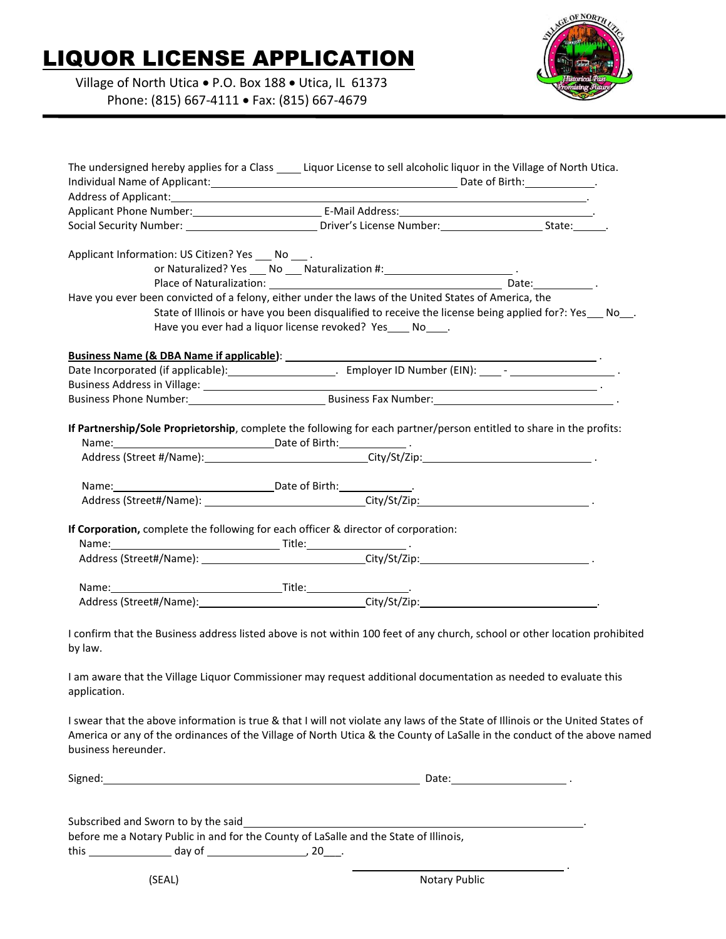## LIQUOR LICENSE APPLICATION

 Village of North Utica • P.O. Box 188 • Utica, IL 61373 Phone: (815) 667-4111 • Fax: (815) 667-4679



| The undersigned hereby applies for a Class ______ Liquor License to sell alcoholic liquor in the Village of North Utica.                                                                                                       |                                                                                                                                                                     |  |
|--------------------------------------------------------------------------------------------------------------------------------------------------------------------------------------------------------------------------------|---------------------------------------------------------------------------------------------------------------------------------------------------------------------|--|
|                                                                                                                                                                                                                                |                                                                                                                                                                     |  |
|                                                                                                                                                                                                                                |                                                                                                                                                                     |  |
|                                                                                                                                                                                                                                |                                                                                                                                                                     |  |
| Applicant Information: US Citizen? Yes ___ No ____.                                                                                                                                                                            | or Naturalized? Yes ___ No ___ Naturalization #: _____________________________.                                                                                     |  |
|                                                                                                                                                                                                                                |                                                                                                                                                                     |  |
| Have you ever been convicted of a felony, either under the laws of the United States of America, the                                                                                                                           |                                                                                                                                                                     |  |
|                                                                                                                                                                                                                                | State of Illinois or have you been disqualified to receive the license being applied for?: Yes No.<br>Have you ever had a liquor license revoked? Yes ____ No_____. |  |
|                                                                                                                                                                                                                                |                                                                                                                                                                     |  |
|                                                                                                                                                                                                                                |                                                                                                                                                                     |  |
| Business Address in Village: Law and Contract and Contract and Contract and Contract and Contract and Contract and Contract and Contract and Contract and Contract and Contract and Contract and Contract and Contract and Con |                                                                                                                                                                     |  |
| Business Phone Number: National Phone Research Phone Research Phone Research Phone Research Phone Research Phone Research Phone Research Phone Research Phone Research Phone Research Phone Research Phone Research Phone Rese |                                                                                                                                                                     |  |
| If Partnership/Sole Proprietorship, complete the following for each partner/person entitled to share in the profits:                                                                                                           |                                                                                                                                                                     |  |
|                                                                                                                                                                                                                                |                                                                                                                                                                     |  |
|                                                                                                                                                                                                                                | Address (Street#/Name): City/St/Zip: City/St/Zip:                                                                                                                   |  |
| If Corporation, complete the following for each officer & director of corporation:                                                                                                                                             |                                                                                                                                                                     |  |
|                                                                                                                                                                                                                                |                                                                                                                                                                     |  |
|                                                                                                                                                                                                                                |                                                                                                                                                                     |  |
|                                                                                                                                                                                                                                |                                                                                                                                                                     |  |
|                                                                                                                                                                                                                                |                                                                                                                                                                     |  |
| I confirm that the Business address listed above is not within 100 feet of any church, school or other location prohibited<br>by law.                                                                                          |                                                                                                                                                                     |  |
| I am aware that the Village Liquor Commissioner may request additional documentation as needed to evaluate this<br>application.                                                                                                |                                                                                                                                                                     |  |
| I swear that the above information is true & that I will not violate any laws of the State of Illinois or the United States of                                                                                                 |                                                                                                                                                                     |  |

I swear that the above information is true & that I will not violate any laws of the State of Illinois or the United States of America or any of the ordinances of the Village of North Utica & the County of LaSalle in the conduct of the above named business hereunder.

| $\sim$<br>Signer<br>∼ | .<br>$\overline{a}$<br>ີ<br>----- |  |
|-----------------------|-----------------------------------|--|
|                       |                                   |  |

|      | Subscribed and Sworn to by the said |                                                                                       |  |
|------|-------------------------------------|---------------------------------------------------------------------------------------|--|
|      |                                     | before me a Notary Public in and for the County of LaSalle and the State of Illinois, |  |
| this | day of                              | 20.                                                                                   |  |

<u>. Andre Stadt i den stadt i den stadt i den stadt i den stadt i den stadt i den stadt i den stadt i den stadt</u>